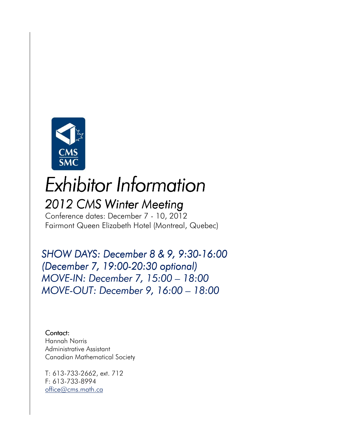

# *Exhibitor Information 2012CMSWinterMeeting Meeting Meeting*

Conference dates: December 7 - 10, 2012 Fairmont Queen Elizabeth Hotel (Montreal, Quebec)

*SHOW DAYS: December 8 & 9 SHOW DAYS: December 9,9:30-16:00 (December 7, 19:00- 19:00-20:30 optional) 20:30 optional) MOVE-IN: December 7, 15:00 - 18:00 MOVE-OUT: December 9, 16:00 - 18:00* 

Contact: Hannah Norris Administrative Assistant Canadian Mathematical Society

T: 613-733-2662, ext. 712 F: 613-733-8994 office@cms.math.ca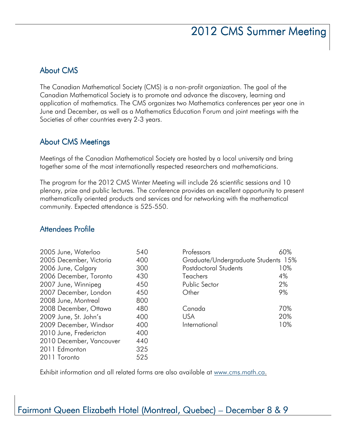# 2012 CMS Summer Meeting

#### **About CMS**

The Canadian Mathematical Society (CMS) is a non-profit organization. The goal of the Canadian Mathematical Society is to promote and advance the discovery, learning and application of mathematics. The CMS organizes two Mathematics conferences per year one in June and December, as well as a Mathematics Education Forum and joint meetings with the Societies of other countries every 2-3 years.

#### About CMS Meetings

Meetings of the Canadian Mathematical Society are hosted by a local university and bring together some of the most internationally respected researchers and mathematicians.

The program for the 2012 CMS Winter Meeting will include 26 scientific sessions and 10 plenary, prize and public lectures. The conference provides an excellent opportunity to present mathematically oriented products and services and for networking with the mathematical community. Expected attendance is 525-550.

#### Attendees Attendees Profile

| 2005 June, Waterloo      | 540 |
|--------------------------|-----|
| 2005 December, Victoria  | 400 |
| 2006 June, Calgary       | 300 |
| 2006 December, Toronto   | 430 |
| 2007 June, Winnipeg      | 450 |
| 2007 December, London    | 450 |
| 2008 June, Montreal      | 800 |
| 2008 December, Ottawa    | 480 |
| 2009 June, St. John's    | 400 |
| 2009 December, Windsor   | 400 |
| 2010 June, Fredericton   | 400 |
| 2010 December, Vancouver | 440 |
| 2011 Edmonton            | 325 |
| 2011 Toronto             | 525 |

| Professors                          | ለበ%               |
|-------------------------------------|-------------------|
| Graduate/Undergraduate Students 15% |                   |
| Postdoctoral Students               | 10%               |
| Teachers                            | 4%                |
| Public Sector                       | 2%                |
| Other                               | 9%                |
| Canada<br>USA<br>International      | 70%<br>20%<br>10% |
|                                     |                   |

Exhibit information and all related forms are also available at www.cms.math.ca.

### Fairmont Queen Elizabeth Hotel (Montreal, Quebec) – December 8 & 9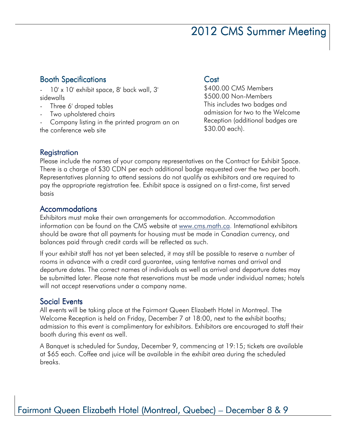### 2012 CMS Summer Meeting

#### **Booth Specifications**

10' x 10' exhibit space, 8' back wall, 3' sidewalls

- Three 6' draped tables
- Two upholstered chairs

- Company listing in the printed program an on the conference web site

#### Cost

\$400.00 CMS Members \$500.00 Non-Members This includes two badges and admission for two to the Welcome Reception (additional badges are \$30.00 each).

#### **Registration**

Please include the names of your company representatives on the Contract for Exhibit Space. There is a charge of \$30 CDN per each additional badge requested over the two per booth. Representatives planning to attend sessions do not qualify as exhibitors and are required to pay the appropriate registration fee. Exhibit space is assigned on a first-come, first served basis

#### Accommodations

Exhibitors must make their own arrangements for accommodation. Accommodation information can be found on the CMS website at www.cms.math.ca. International exhibitors should be aware that all payments for housing must be made in Canadian currency, and balances paid through credit cards will be reflected as such.

If your exhibit staff has not yet been selected, it may still be possible to reserve a number of rooms in advance with a credit card guarantee, using tentative names and arrival and departure dates. The correct names of individuals as well as arrival and departure dates may be submitted later. Please note that reservations must be made under individual names; hotels will not accept reservations under a company name.

#### Social Events

All events will be taking place at the Fairmont Queen Elizabeth Hotel in Montreal. The Welcome Reception is held on Friday, December 7 at 18:00, next to the exhibit booths; admission to this event is complimentary for exhibitors. Exhibitors are encouraged to staff their booth during this event as well.

A Banquet is scheduled for Sunday, December 9, commencing at 19:15; tickets are available at \$65 each. Coffee and juice will be available in the exhibit area during the scheduled breaks.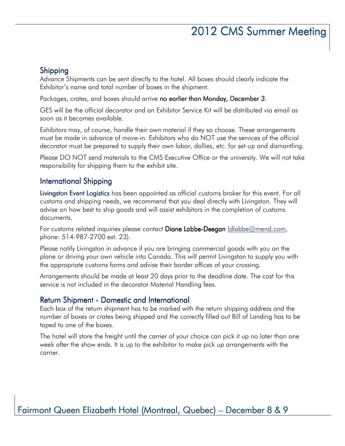## 2012 CMS Summer Meeting

#### Shipping

Advance Shipments can be sent directly to the hotel. All boxes should clearly indicate the Exhibitor's name and total number of boxes in the shipment.

Packages, crates, and boxes should arrive no earlier than Monday, December 3.

GES will be the official decorator and an Exhibitor Service Kit will be distributed via email as soon as it becomes available.

Exhibitors may, of course, handle their own material if they so choose. These arrangements must be made in advance of move-in. Exhibitors who do NOT use the services of the official decorator must be prepared to supply their own labor, dollies, etc. for set-up and dismantling.

Please DO NOT send materials to the CMS Executive Office or the university. We will not take responsibility for shipping them to the exhibit site.

#### International Shipping

Livingston Event Logisticshas been appointed as official customs broker for this event. For all customs and shipping needs, we recommend that you deal directly with Livingston. They will advise on how best to ship goods and will assist exhibitors in the completion of customs documents.

For customs related inquiries please contact Diane Labbe-Deegan (dlabbe@mend.com, phone: 514-987-2700 ext. 23).

Please notify Livingston in advance if you are bringing commercial goods with you on the plane or driving your own vehicle into Canada. This will permit Livingston to supply you with the appropriate customs forms and advise their border offices of your crossing.

Arrangements should be made at least 20 days prior to the deadline date. The cost for this service is not included in the decorator Material Handling fees.

#### Return Shipment - Domestic and International

Each box of the return shipment has to be marked with the return shipping address and the number of boxes or crates being shipped and the correctly filled out Bill of Landing has to be taped to one of the boxes.

The hotel will store the freight until the carrier of your choice can pick it up no later than one week after the show ends. It is up to the exhibitor to make pick up arrangements with the carrier.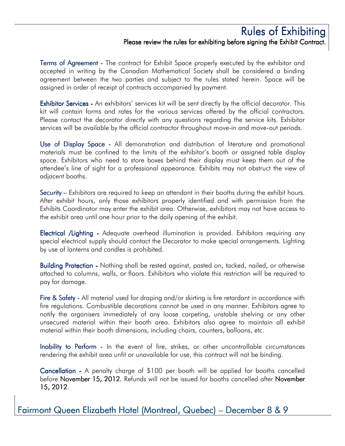#### Rules of Exhibiting Please review the rules for exhibiting before signing the Exhibit Contract.

Terms of Agreement - The contract for Exhibit Space properly executed by the exhibitor and accepted in writing by the Canadian Mathematical Society shall be considered a binding agreement between the two parties and subject to the rules stated herein. Space will be assigned in order of receipt of contracts accompanied by payment.

**Exhibitor Services** - An exhibitors' services kit will be sent directly by the official decorator. This kit will contain forms and rates for the various services offered by the official contractors. Please contact the decorator directly with any questions regarding the service kits. Exhibitor services will be available by the official contractor throughout move-in and move-out periods.

Use of Display Space - All demonstration and distribution of literature and promotional materials must be confined to the limits of the exhibitor's booth or assigned table display space. Exhibitors who need to store boxes behind their display must keep them out of the attendee's line of sight for a professional appearance. Exhibits may not obstruct the view of adjacent booths.

Security – Exhibitors are required to keep an attendant in their booths during the exhibit hours. After exhibit hours, only those exhibitors properly identified and with permission from the Exhibits Coordinator may enter the exhibit area. Otherwise, exhibitors may not have access to the exhibit area until one hour prior to the daily opening of the exhibit.

Electrical /Lighting - Adequate overhead illumination is provided. Exhibitors requiring any special electrical supply should contact the Decorator to make special arrangements. Lighting by use of lanterns and candles is prohibited.

Building Protection - Nothing shall be rested against, pasted on, tacked, nailed, or otherwise attached to columns, walls, or floors. Exhibitors who violate this restriction will be required to pay for damage.

Fire & Safety - All material used for draping and/or skirting is fire retardant in accordance with fire regulations. Combustible decorations cannot be used in any manner. Exhibitors agree to notify the organisers immediately of any loose carpeting, unstable shelving or any other unsecured material within their booth area. Exhibitors also agree to maintain all exhibit material within their booth dimensions, including chairs, counters, balloons, etc.

Inability to Perform - In the event of fire, strikes, or other uncontrollable circumstances rendering the exhibit area unfit or unavailable for use, this contract will not be binding.

Cancellation - A penalty charge of \$100 per booth will be applied for booths cancelled before November 15, 2012. Refunds will not be issued for booths cancelled after November 15, 2012.

Fairmont Queen Elizabeth Hotel (Montreal, Quebec) – December 8 & 9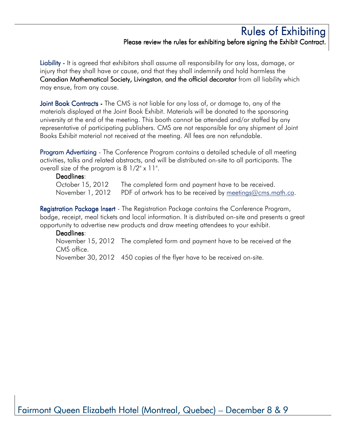#### Rules of Exhibiting Please review the rules for exhibiting before signing the Exhibit Contract.

Liability - It is agreed that exhibitors shall assume all responsibility for any loss, damage, or injury that they shall have or cause, and that they shall indemnify and hold harmless the Canadian Mathematical Society, Livingston, and the official decorator from all liability which may ensue, from any cause.

Joint Book Contracts - The CMS is not liable for any loss of, or damage to, any of the materials displayed at the Joint Book Exhibit. Materials will be donated to the sponsoring university at the end of the meeting. This booth cannot be attended and/or staffed by any representative of participating publishers. CMS are not responsible for any shipment of Joint Books Exhibit material not received at the meeting. All fees are non refundable.

Program Advertizing - The Conference Program contains a detailed schedule of all meeting activities, talks and related abstracts, and will be distributed on-site to all participants. The overall size of the program is 8 1/2" x 11".

#### Deadlines:

October 15, 2012 The completed form and payment have to be received. November 1, 2012 PDF of artwork has to be received by meetings@cms.math.ca.

Registration Package Insert - The Registration Package contains the Conference Program, badge, receipt, meal tickets and local information. It is distributed on-site and presents a great opportunity to advertise new products and draw meeting attendees to your exhibit.

#### Deadlines:

November 15, 2012 The completed form and payment have to be received at the CMS office.

November 30, 2012 450 copies of the flyer have to be received on-site.

Fairmont Queen Elizabeth Hotel (Montreal, Quebec) – December 8 & 9